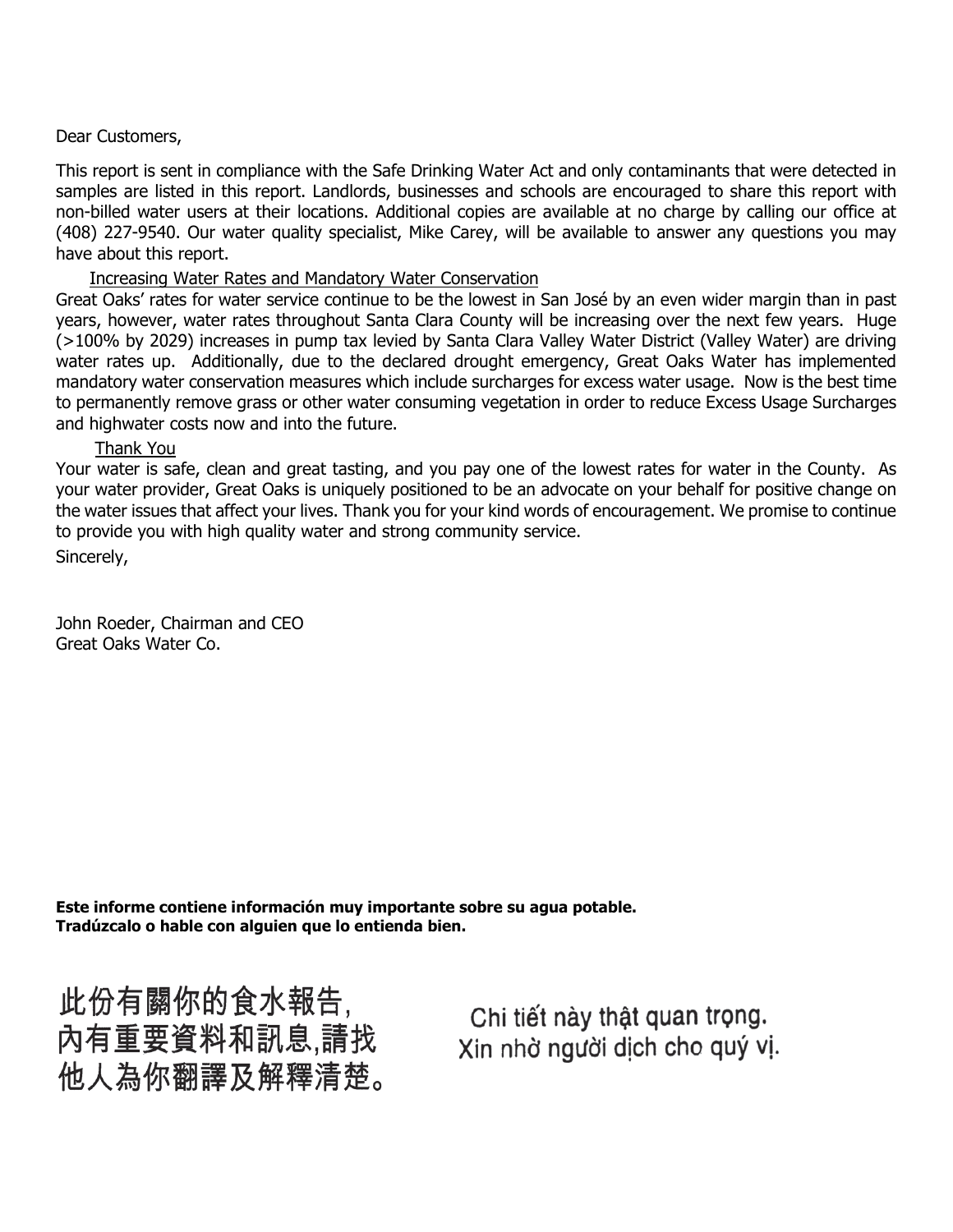## Dear Customers,

This report is sent in compliance with the Safe Drinking Water Act and only contaminants that were detected in samples are listed in this report. Landlords, businesses and schools are encouraged to share this report with non-billed water users at their locations. Additional copies are available at no charge by calling our office at (408) 227-9540. Our water quality specialist, Mike Carey, will be available to answer any questions you may have about this report.

# Increasing Water Rates and Mandatory Water Conservation

Great Oaks' rates for water service continue to be the lowest in San José by an even wider margin than in past years, however, water rates throughout Santa Clara County will be increasing over the next few years. Huge (>100% by 2029) increases in pump tax levied by Santa Clara Valley Water District (Valley Water) are driving water rates up. Additionally, due to the declared drought emergency, Great Oaks Water has implemented mandatory water conservation measures which include surcharges for excess water usage. Now is the best time to permanently remove grass or other water consuming vegetation in order to reduce Excess Usage Surcharges and highwater costs now and into the future.

# Thank You

Your water is safe, clean and great tasting, and you pay one of the lowest rates for water in the County. As your water provider, Great Oaks is uniquely positioned to be an advocate on your behalf for positive change on the water issues that affect your lives. Thank you for your kind words of encouragement. We promise to continue to provide you with high quality water and strong community service. Sincerely,

John Roeder, Chairman and CEO Great Oaks Water Co.

**Este informe contiene información muy importante sobre su agua potable. Tradúzcalo o hable con alguien que lo entienda bien.**

此份有關你的食水報告, 內有重要資料和訊息,請找 他人為你翻譯及解釋清楚。

Chi tiết này thật quan trọng. Xin nhờ người dịch cho quý vị.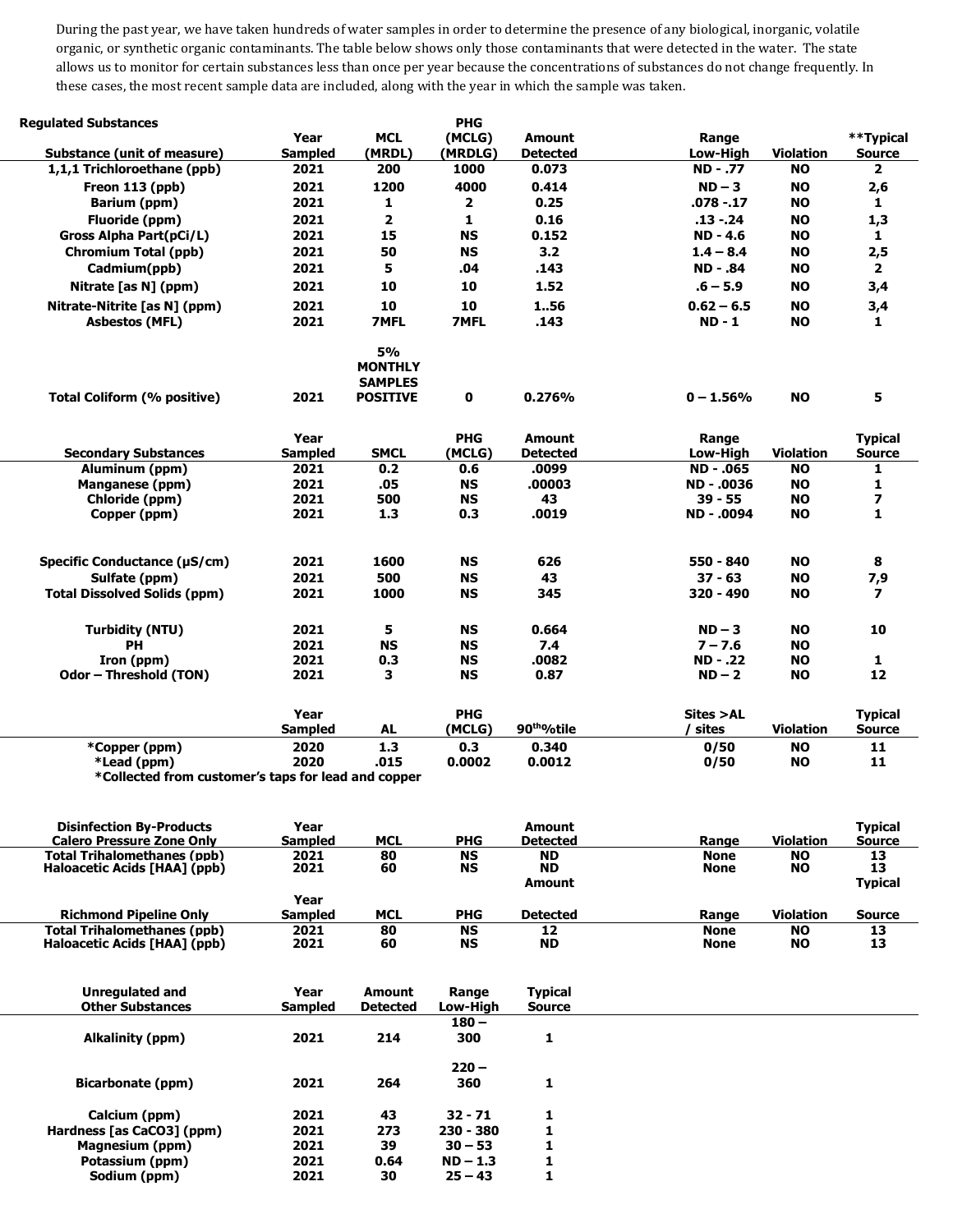During the past year, we have taken hundreds of water samples in order to determine the presence of any biological, inorganic, volatile organic, or synthetic organic contaminants. The table below shows only those contaminants that were detected in the water. The state allows us to monitor for certain substances less than once per year because the concentrations of substances do not change frequently. In these cases, the most recent sample data are included, along with the year in which the sample was taken.

| <b>Regulated Substances</b>                         |                |                                                                  | <b>PHG</b>   |                          |                 |                  |                          |
|-----------------------------------------------------|----------------|------------------------------------------------------------------|--------------|--------------------------|-----------------|------------------|--------------------------|
|                                                     | Year           | <b>MCL</b>                                                       | (MCLG)       | <b>Amount</b>            | Range           |                  | **Typical                |
| Substance (unit of measure)                         | <b>Sampled</b> | (MRDL)                                                           | (MRDLG)      | <b>Detected</b>          | Low-High        | <b>Violation</b> | <b>Source</b>            |
| 1,1,1 Trichloroethane (ppb)                         | 2021           | 200                                                              | 1000         | 0.073                    | <b>ND-.77</b>   | <b>NO</b>        | $\overline{\mathbf{2}}$  |
| Freon 113 (ppb)                                     | 2021           | 1200                                                             | 4000         | 0.414                    | $ND-3$          | <b>NO</b>        | 2,6                      |
| Barium (ppm)                                        | 2021           | 1                                                                | $\mathbf{2}$ | 0.25                     | $.078 - .17$    | <b>NO</b>        | $\mathbf{1}$             |
| Fluoride (ppm)                                      | 2021           | $\overline{2}$                                                   | $\mathbf{1}$ | 0.16                     | $.13 - .24$     | <b>NO</b>        | 1,3                      |
| Gross Alpha Part(pCi/L)                             | 2021           | 15                                                               | <b>NS</b>    | 0.152                    | <b>ND-4.6</b>   | <b>NO</b>        | $\mathbf{1}$             |
| <b>Chromium Total (ppb)</b>                         | 2021           | 50                                                               | <b>NS</b>    | 3.2                      | $1.4 - 8.4$     | <b>NO</b>        | 2,5                      |
| Cadmium(ppb)                                        | 2021           | 5                                                                | .04          | .143                     | <b>ND - .84</b> | <b>NO</b>        | $\overline{2}$           |
| Nitrate [as N] (ppm)                                | 2021           | 10                                                               | 10           | 1.52                     | $.6 - 5.9$      | <b>NO</b>        | 3,4                      |
| Nitrate-Nitrite [as N] (ppm)                        | 2021           | 10                                                               | 10           | 156                      | $0.62 - 6.5$    | <b>NO</b>        | 3,4                      |
| <b>Asbestos (MFL)</b>                               | 2021           | <b>7MFL</b>                                                      | <b>7MFL</b>  | .143                     | $ND - 1$        | <b>NO</b>        | 1                        |
| Total Coliform (% positive)                         | 2021           | <b>5%</b><br><b>MONTHLY</b><br><b>SAMPLES</b><br><b>POSITIVE</b> | 0            | 0.276%                   | $0 - 1.56%$     | <b>NO</b>        | 5                        |
|                                                     | Year           |                                                                  | <b>PHG</b>   | <b>Amount</b>            | Range           |                  | <b>Typical</b>           |
| <b>Secondary Substances</b>                         | <b>Sampled</b> | <b>SMCL</b>                                                      | (MCLG)       | <b>Detected</b>          | Low-High        | <b>Violation</b> | <b>Source</b>            |
| Aluminum (ppm)                                      | 2021           | 0.2                                                              | 0.6          | .0099                    | ND-.065         | <b>NO</b>        | 1                        |
| Manganese (ppm)                                     | 2021           | .05                                                              | <b>NS</b>    | .00003                   | ND - .0036      | <b>NO</b>        | 1                        |
| Chloride (ppm)                                      | 2021           | 500                                                              | <b>NS</b>    | 43                       | $39 - 55$       | <b>NO</b>        | 7                        |
| Copper (ppm)                                        | 2021           | 1.3                                                              | 0.3          | .0019                    | ND - .0094      | <b>NO</b>        | 1                        |
|                                                     |                |                                                                  |              |                          |                 |                  |                          |
| Specific Conductance (µS/cm)                        | 2021           | 1600                                                             | <b>NS</b>    | 626                      | 550 - 840       | <b>NO</b>        | 8                        |
| Sulfate (ppm)                                       | 2021           | 500                                                              | <b>NS</b>    | 43                       | $37 - 63$       | <b>NO</b>        | 7,9                      |
| <b>Total Dissolved Solids (ppm)</b>                 | 2021           | 1000                                                             | <b>NS</b>    | 345                      | 320 - 490       | <b>NO</b>        | $\overline{\phantom{a}}$ |
| <b>Turbidity (NTU)</b>                              | 2021           | 5                                                                | <b>NS</b>    | 0.664                    | $ND-3$          | <b>NO</b>        | 10                       |
| <b>PH</b>                                           | 2021           | <b>NS</b>                                                        | <b>NS</b>    | 7.4                      | $7 - 7.6$       | <b>NO</b>        |                          |
| Iron (ppm)                                          | 2021           | 0.3                                                              | <b>NS</b>    | .0082                    | ND - .22        | <b>NO</b>        | 1                        |
| Odor - Threshold (TON)                              | 2021           | 3                                                                | <b>NS</b>    | 0.87                     | $ND-2$          | <b>NO</b>        | 12                       |
|                                                     | Year           |                                                                  | <b>PHG</b>   |                          | Sites >AL       |                  | <b>Typical</b>           |
|                                                     | <b>Sampled</b> | <b>AL</b>                                                        | (MCLG)       | 90 <sup>tho</sup> /otile | sites           | <b>Violation</b> | <b>Source</b>            |
| *Copper (ppm)                                       | 2020           | 1.3                                                              | 0.3          | 0.340                    | 0/50            | <b>NO</b>        | 11                       |
| *Lead (ppm)                                         | 2020           | .015                                                             | 0.0002       | 0.0012                   | 0/50            | <b>NO</b>        | 11                       |
| *Collected from customer's tans for lead and conner |                |                                                                  |              |                          |                 |                  |                          |

**\*Collected from customer's taps for lead and copper**

| <b>Disinfection By-Products</b><br><b>Calero Pressure Zone Only</b> | Year<br><b>Sampled</b> | MCL        | <b>PHG</b> | Amount<br><b>Detected</b> | Range       | <b>Violation</b> | <b>Typical</b><br><b>Source</b> |
|---------------------------------------------------------------------|------------------------|------------|------------|---------------------------|-------------|------------------|---------------------------------|
| Total Trihalomethanes (ppb)                                         | 2021                   | 80         | <b>NS</b>  | <b>ND</b>                 | <b>None</b> | <b>NO</b>        | 13                              |
| Haloacetic Acids [HAA] (ppb)                                        | 2021                   | 60         | <b>NS</b>  | <b>ND</b>                 | <b>None</b> | <b>NO</b>        | 13                              |
|                                                                     |                        |            |            | Amount                    |             |                  | <b>Typical</b>                  |
|                                                                     | Year                   |            |            |                           |             |                  |                                 |
| <b>Richmond Pipeline Only</b>                                       | <b>Sampled</b>         | <b>MCL</b> | <b>PHG</b> | <b>Detected</b>           | Range       | <b>Violation</b> | <b>Source</b>                   |
| <b>Total Trihalomethanes (ppb)</b>                                  | 2021                   | 80         | <b>NS</b>  | 12                        | <b>None</b> | <b>NO</b>        | 13                              |
| Haloacetic Acids [HAA] (ppb)                                        | 2021                   | 60         | <b>NS</b>  | <b>ND</b>                 | <b>None</b> | <b>NO</b>        | 13                              |

| <b>Unregulated and</b>    | Year           | Amount          | Range       | <b>Typical</b> |  |  |
|---------------------------|----------------|-----------------|-------------|----------------|--|--|
| <b>Other Substances</b>   | <b>Sampled</b> | <b>Detected</b> | Low-High    | <b>Source</b>  |  |  |
|                           |                |                 | $180 -$     |                |  |  |
| Alkalinity (ppm)          | 2021           | 214             | 300         | 1              |  |  |
|                           |                |                 | $220 -$     |                |  |  |
| Bicarbonate (ppm)         | 2021           | 264             | 360         | 1              |  |  |
| Calcium (ppm)             | 2021           | 43              | $32 - 71$   | 1              |  |  |
| Hardness [as CaCO3] (ppm) | 2021           | 273             | $230 - 380$ | 1              |  |  |
| Magnesium (ppm)           | 2021           | 39              | $30 - 53$   |                |  |  |
| Potassium (ppm)           | 2021           | 0.64            | $ND - 1.3$  | 1              |  |  |
| Sodium (ppm)              | 2021           | 30              | $25 - 43$   |                |  |  |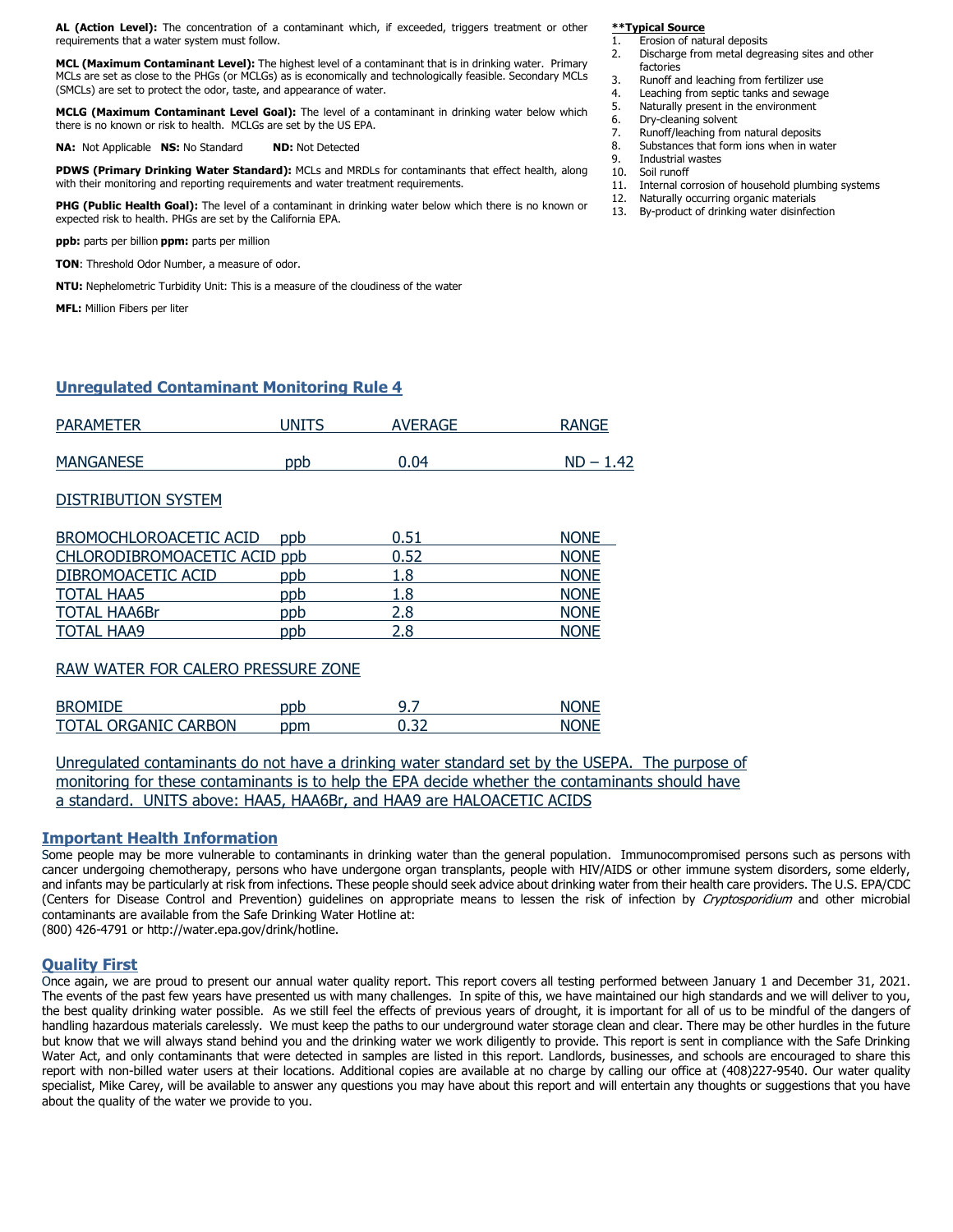**AL (Action Level):** The concentration of a contaminant which, if exceeded, triggers treatment or other requirements that a water system must follow.

**MCL (Maximum Contaminant Level):** The highest level of a contaminant that is in drinking water. Primary MCLs are set as close to the PHGs (or MCLGs) as is economically and technologically feasible. Secondary MCLs (SMCLs) are set to protect the odor, taste, and appearance of water.

**MCLG (Maximum Contaminant Level Goal):** The level of a contaminant in drinking water below which there is no known or risk to health. MCLGs are set by the US EPA.

**NA:** Not Applicable **NS:** No Standard **ND:** Not Detected

**PDWS (Primary Drinking Water Standard):** MCLs and MRDLs for contaminants that effect health, along with their monitoring and reporting requirements and water treatment requirements.

**PHG (Public Health Goal):** The level of a contaminant in drinking water below which there is no known or expected risk to health. PHGs are set by the California EPA.

**ppb:** parts per billion **ppm:** parts per million

**TON**: Threshold Odor Number, a measure of odor.

**NTU:** Nephelometric Turbidity Unit: This is a measure of the cloudiness of the water

**MFL:** Million Fibers per liter

## **Unregulated Contaminant Monitoring Rule 4**

| <b>PARAMETER</b> | JNITS | <b>AVERAGE</b> | <b>RANGE</b> |
|------------------|-------|----------------|--------------|
| <b>MANGANESE</b> | ppb   | $\Omega$       | <b>ND</b>    |

### DISTRIBUTION SYSTEM

| BROMOCHLOROACETIC ACID       | ppb | 0.51 | <b>NONE</b> |
|------------------------------|-----|------|-------------|
| CHLORODIBROMOACETIC ACID ppb |     | 0.52 | <b>NONE</b> |
| DIBROMOACETIC ACID           | ppb | 1.8  | <b>NONE</b> |
| <b>TOTAL HAA5</b>            | ppb | 1.8  | <b>NONE</b> |
| <b>TOTAL HAA6Br</b>          | ppb | 2.8  | <b>NONE</b> |
| <b>TOTAL HAA9</b>            | ppb | 2.8  | <b>NONE</b> |

### RAW WATER FOR CALERO PRESSURE ZONE

| <b>BROMIDE</b>       | ppb | o |  |
|----------------------|-----|---|--|
| TOTAL ORGANIC CARBON | วɒm |   |  |

Unregulated contaminants do not have a drinking water standard set by the USEPA. The purpose of monitoring for these contaminants is to help the EPA decide whether the contaminants should have a standard. UNITS above: HAA5, HAA6Br, and HAA9 are HALOACETIC ACIDS

## **Important Health Information**

Some people may be more vulnerable to contaminants in drinking water than the general population. Immunocompromised persons such as persons with cancer undergoing chemotherapy, persons who have undergone organ transplants, people with HIV/AIDS or other immune system disorders, some elderly, and infants may be particularly at risk from infections. These people should seek advice about drinking water from their health care providers. The U.S. EPA/CDC (Centers for Disease Control and Prevention) guidelines on appropriate means to lessen the risk of infection by Cryptosporidium and other microbial contaminants are available from the Safe Drinking Water Hotline at:

(800) 426-4791 or http://water.epa.gov/drink/hotline.

### **Quality First**

Once again, we are proud to present our annual water quality report. This report covers all testing performed between January 1 and December 31, 2021. The events of the past few years have presented us with many challenges. In spite of this, we have maintained our high standards and we will deliver to you, the best quality drinking water possible. As we still feel the effects of previous years of drought, it is important for all of us to be mindful of the dangers of handling hazardous materials carelessly. We must keep the paths to our underground water storage clean and clear. There may be other hurdles in the future but know that we will always stand behind you and the drinking water we work diligently to provide. This report is sent in compliance with the Safe Drinking Water Act, and only contaminants that were detected in samples are listed in this report. Landlords, businesses, and schools are encouraged to share this report with non-billed water users at their locations. Additional copies are available at no charge by calling our office at (408)227-9540. Our water quality specialist, Mike Carey, will be available to answer any questions you may have about this report and will entertain any thoughts or suggestions that you have about the quality of the water we provide to you.

# **\*\*Typical Source**<br>1. Erosion of nat

- **Erosion of natural deposits**
- 2. Discharge from metal degreasing sites and other factories
- 3. Runoff and leaching from fertilizer use
- 4. Leaching from septic tanks and sewage<br>5. Naturally present in the environment
- 5. Naturally present in the environment<br>6. Drv-cleaning solvent
- Drv-cleaning solvent
- 7. Runoff/leaching from natural deposits
- 8. Substances that form ions when in water<br>9. Industrial wastes
- 9. Industrial wastes<br>10. Soil runoff
- 10. Soil runoff<br>11. Internal co Internal corrosion of household plumbing systems
- 12. Naturally occurring organic materials<br>13. By-product of drinking water disinfect
- By-product of drinking water disinfection